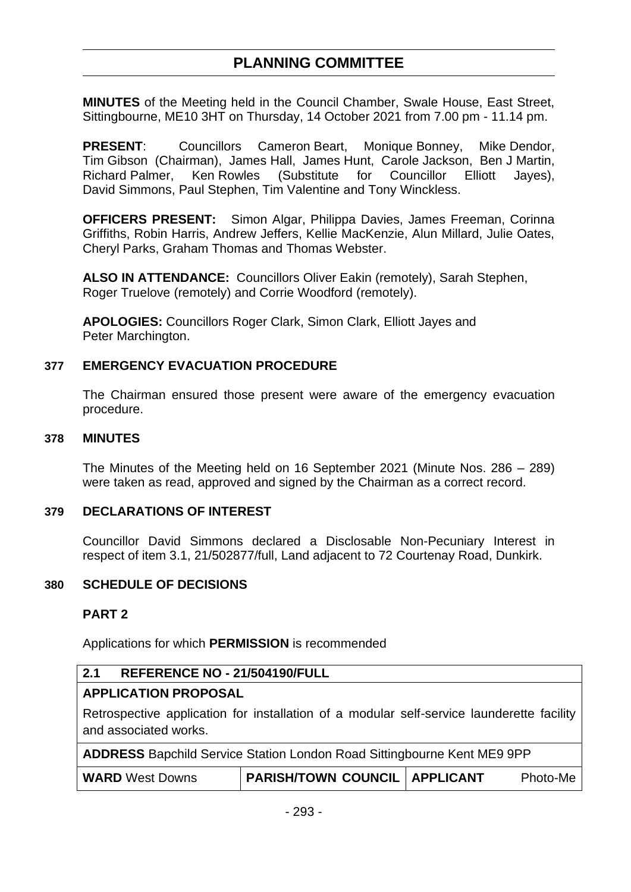# **PLANNING COMMITTEE**

**MINUTES** of the Meeting held in the Council Chamber, Swale House, East Street, Sittingbourne, ME10 3HT on Thursday, 14 October 2021 from 7.00 pm - 11.14 pm.

**PRESENT**: Councillors Cameron Beart, Monique Bonney, Mike Dendor, Tim Gibson (Chairman), James Hall, James Hunt, Carole Jackson, Ben J Martin, Richard Palmer, Ken Rowles (Substitute for Councillor Elliott Jayes), David Simmons, Paul Stephen, Tim Valentine and Tony Winckless.

**OFFICERS PRESENT:** Simon Algar, Philippa Davies, James Freeman, Corinna Griffiths, Robin Harris, Andrew Jeffers, Kellie MacKenzie, Alun Millard, Julie Oates, Cheryl Parks, Graham Thomas and Thomas Webster.

**ALSO IN ATTENDANCE:** Councillors Oliver Eakin (remotely), Sarah Stephen, Roger Truelove (remotely) and Corrie Woodford (remotely).

**APOLOGIES:** Councillors Roger Clark, Simon Clark, Elliott Jayes and Peter Marchington.

### **377 EMERGENCY EVACUATION PROCEDURE**

The Chairman ensured those present were aware of the emergency evacuation procedure.

#### **378 MINUTES**

The Minutes of the Meeting held on 16 September 2021 (Minute Nos. 286 – 289) were taken as read, approved and signed by the Chairman as a correct record.

### **379 DECLARATIONS OF INTEREST**

Councillor David Simmons declared a Disclosable Non-Pecuniary Interest in respect of item 3.1, 21/502877/full, Land adjacent to 72 Courtenay Road, Dunkirk.

#### **380 SCHEDULE OF DECISIONS**

#### **PART 2**

Applications for which **PERMISSION** is recommended

### **2.1 REFERENCE NO - 21/504190/FULL**

### **APPLICATION PROPOSAL**

Retrospective application for installation of a modular self-service launderette facility and associated works.

**ADDRESS** Bapchild Service Station London Road Sittingbourne Kent ME9 9PP

| <b>WARD</b> West Downs | <b>PARISH/TOWN COUNCIL   APPLICANT</b> | Photo-Me |
|------------------------|----------------------------------------|----------|
|                        |                                        |          |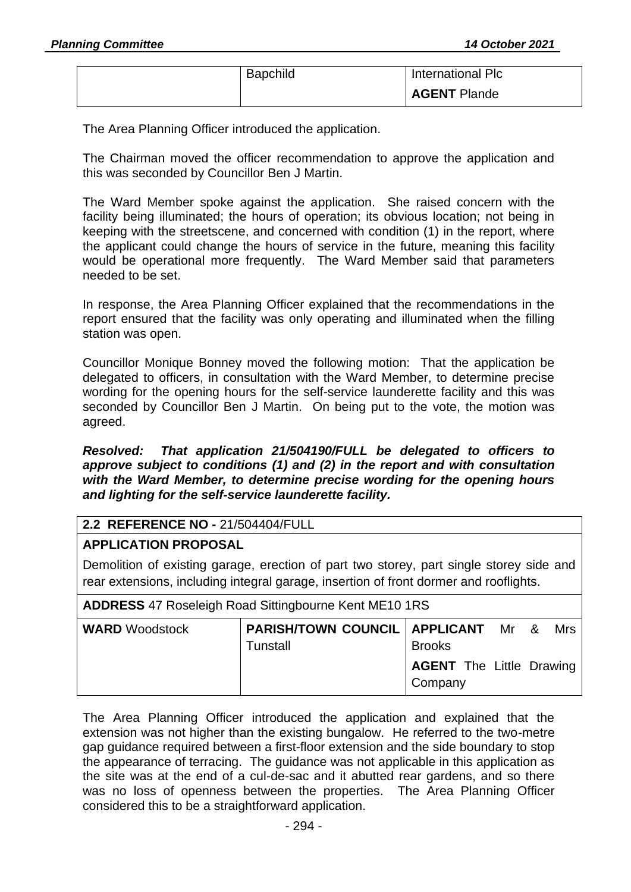| <b>Bapchild</b> | International Plc   |
|-----------------|---------------------|
|                 | <b>AGENT Plande</b> |

The Area Planning Officer introduced the application.

The Chairman moved the officer recommendation to approve the application and this was seconded by Councillor Ben J Martin.

The Ward Member spoke against the application. She raised concern with the facility being illuminated; the hours of operation; its obvious location; not being in keeping with the streetscene, and concerned with condition (1) in the report, where the applicant could change the hours of service in the future, meaning this facility would be operational more frequently. The Ward Member said that parameters needed to be set.

In response, the Area Planning Officer explained that the recommendations in the report ensured that the facility was only operating and illuminated when the filling station was open.

Councillor Monique Bonney moved the following motion: That the application be delegated to officers, in consultation with the Ward Member, to determine precise wording for the opening hours for the self-service launderette facility and this was seconded by Councillor Ben J Martin. On being put to the vote, the motion was agreed.

*Resolved: That application 21/504190/FULL be delegated to officers to approve subject to conditions (1) and (2) in the report and with consultation with the Ward Member, to determine precise wording for the opening hours and lighting for the self-service launderette facility.*

### **2.2 REFERENCE NO -** 21/504404/FULL

### **APPLICATION PROPOSAL**

Demolition of existing garage, erection of part two storey, part single storey side and rear extensions, including integral garage, insertion of front dormer and rooflights.

| <b>ADDRESS 47 Roseleigh Road Sittingbourne Kent ME10 1RS</b> |                                                             |                                            |  |  |  |  |  |  |
|--------------------------------------------------------------|-------------------------------------------------------------|--------------------------------------------|--|--|--|--|--|--|
| <b>WARD</b> Woodstock                                        | <b>PARISH/TOWN COUNCIL   APPLICANT</b> Mr & Mrs<br>Tunstall | <b>Brooks</b>                              |  |  |  |  |  |  |
|                                                              |                                                             | <b>AGENT</b> The Little Drawing<br>Company |  |  |  |  |  |  |

The Area Planning Officer introduced the application and explained that the extension was not higher than the existing bungalow. He referred to the two-metre gap guidance required between a first-floor extension and the side boundary to stop the appearance of terracing. The guidance was not applicable in this application as the site was at the end of a cul-de-sac and it abutted rear gardens, and so there was no loss of openness between the properties. The Area Planning Officer considered this to be a straightforward application.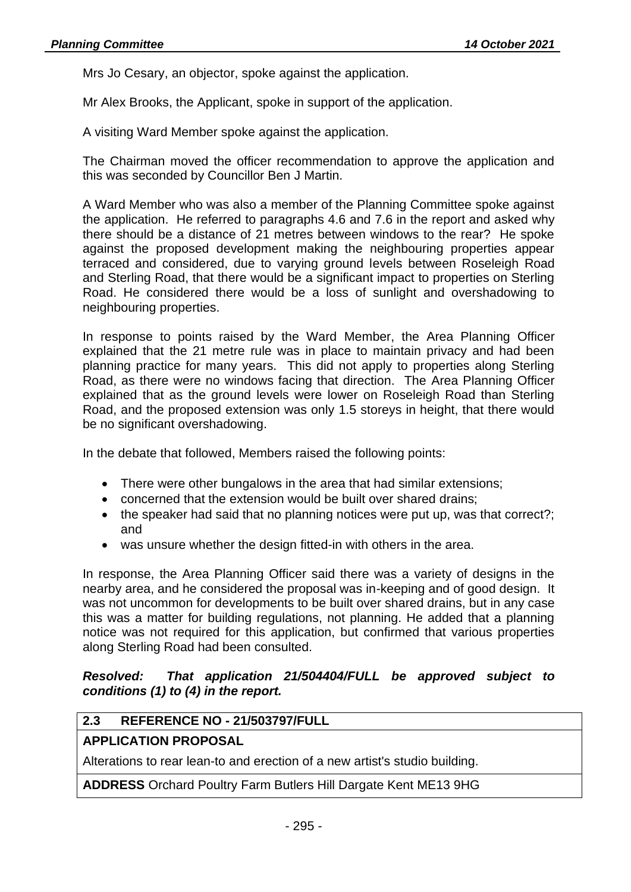Mrs Jo Cesary, an objector, spoke against the application.

Mr Alex Brooks, the Applicant, spoke in support of the application.

A visiting Ward Member spoke against the application.

The Chairman moved the officer recommendation to approve the application and this was seconded by Councillor Ben J Martin.

A Ward Member who was also a member of the Planning Committee spoke against the application. He referred to paragraphs 4.6 and 7.6 in the report and asked why there should be a distance of 21 metres between windows to the rear? He spoke against the proposed development making the neighbouring properties appear terraced and considered, due to varying ground levels between Roseleigh Road and Sterling Road, that there would be a significant impact to properties on Sterling Road. He considered there would be a loss of sunlight and overshadowing to neighbouring properties.

In response to points raised by the Ward Member, the Area Planning Officer explained that the 21 metre rule was in place to maintain privacy and had been planning practice for many years. This did not apply to properties along Sterling Road, as there were no windows facing that direction. The Area Planning Officer explained that as the ground levels were lower on Roseleigh Road than Sterling Road, and the proposed extension was only 1.5 storeys in height, that there would be no significant overshadowing.

In the debate that followed, Members raised the following points:

- There were other bungalows in the area that had similar extensions;
- concerned that the extension would be built over shared drains;
- the speaker had said that no planning notices were put up, was that correct?: and
- was unsure whether the design fitted-in with others in the area.

In response, the Area Planning Officer said there was a variety of designs in the nearby area, and he considered the proposal was in-keeping and of good design. It was not uncommon for developments to be built over shared drains, but in any case this was a matter for building regulations, not planning. He added that a planning notice was not required for this application, but confirmed that various properties along Sterling Road had been consulted.

### *Resolved: That application 21/504404/FULL be approved subject to conditions (1) to (4) in the report.*

### **2.3 REFERENCE NO - 21/503797/FULL**

### **APPLICATION PROPOSAL**

Alterations to rear lean-to and erection of a new artist's studio building.

**ADDRESS** Orchard Poultry Farm Butlers Hill Dargate Kent ME13 9HG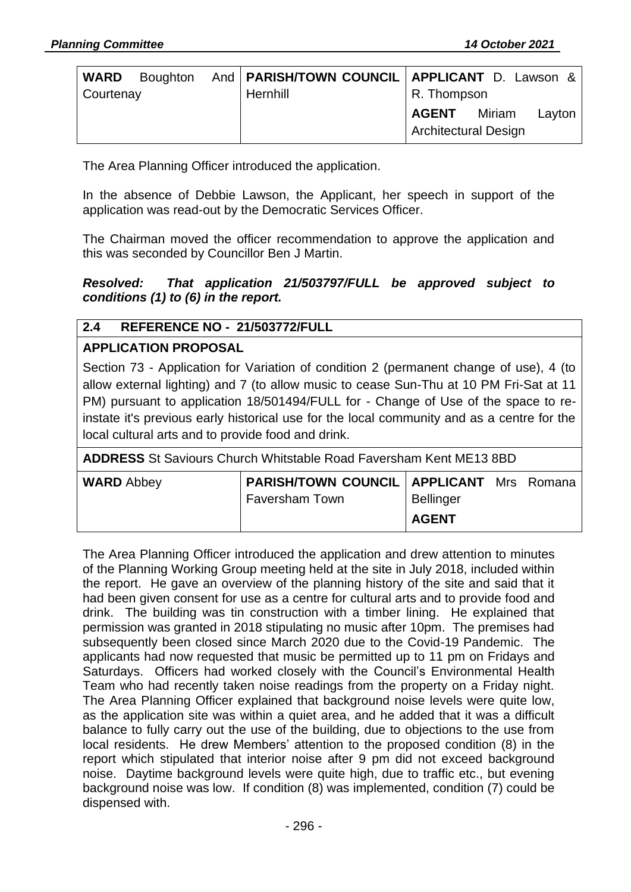| <b>WARD</b> |  |          | Boughton And   PARISH/TOWN COUNCIL   APPLICANT D. Lawson & |  |  |
|-------------|--|----------|------------------------------------------------------------|--|--|
| Courtenay   |  | Hernhill | R. Thompson                                                |  |  |
|             |  |          | <b>AGENT</b> Miriam<br>Layton                              |  |  |
|             |  |          | Architectural Design                                       |  |  |

The Area Planning Officer introduced the application.

In the absence of Debbie Lawson, the Applicant, her speech in support of the application was read-out by the Democratic Services Officer.

The Chairman moved the officer recommendation to approve the application and this was seconded by Councillor Ben J Martin.

### *Resolved: That application 21/503797/FULL be approved subject to conditions (1) to (6) in the report.*

# **2.4 REFERENCE NO - 21/503772/FULL**

# **APPLICATION PROPOSAL**

Section 73 - Application for Variation of condition 2 (permanent change of use), 4 (to allow external lighting) and 7 (to allow music to cease Sun-Thu at 10 PM Fri-Sat at 11 PM) pursuant to application 18/501494/FULL for - Change of Use of the space to reinstate it's previous early historical use for the local community and as a centre for the local cultural arts and to provide food and drink.

| <b>ADDRESS</b> St Saviours Church Whitstable Road Faversham Kent ME13 8BD |                                                                            |                                  |  |  |  |  |
|---------------------------------------------------------------------------|----------------------------------------------------------------------------|----------------------------------|--|--|--|--|
| <b>WARD Abbey</b>                                                         | <b>PARISH/TOWN COUNCIL   APPLICANT Mrs Romana</b><br><b>Faversham Town</b> | <b>Bellinger</b><br><b>AGENT</b> |  |  |  |  |

The Area Planning Officer introduced the application and drew attention to minutes of the Planning Working Group meeting held at the site in July 2018, included within the report. He gave an overview of the planning history of the site and said that it had been given consent for use as a centre for cultural arts and to provide food and drink. The building was tin construction with a timber lining. He explained that permission was granted in 2018 stipulating no music after 10pm. The premises had subsequently been closed since March 2020 due to the Covid-19 Pandemic. The applicants had now requested that music be permitted up to 11 pm on Fridays and Saturdays. Officers had worked closely with the Council's Environmental Health Team who had recently taken noise readings from the property on a Friday night. The Area Planning Officer explained that background noise levels were quite low, as the application site was within a quiet area, and he added that it was a difficult balance to fully carry out the use of the building, due to objections to the use from local residents. He drew Members' attention to the proposed condition (8) in the report which stipulated that interior noise after 9 pm did not exceed background noise. Daytime background levels were quite high, due to traffic etc., but evening background noise was low. If condition (8) was implemented, condition (7) could be dispensed with.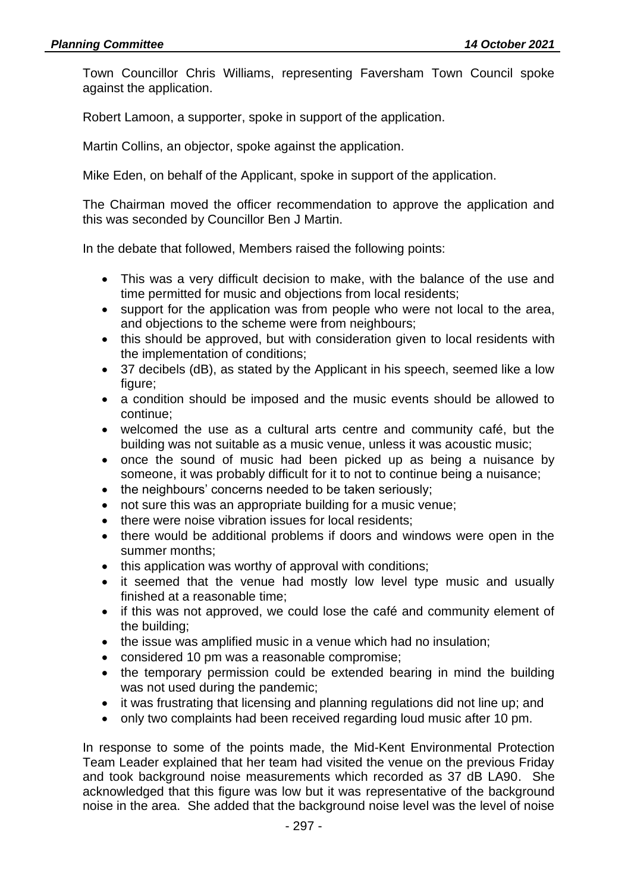Town Councillor Chris Williams, representing Faversham Town Council spoke against the application.

Robert Lamoon, a supporter, spoke in support of the application.

Martin Collins, an objector, spoke against the application.

Mike Eden, on behalf of the Applicant, spoke in support of the application.

The Chairman moved the officer recommendation to approve the application and this was seconded by Councillor Ben J Martin.

In the debate that followed, Members raised the following points:

- This was a very difficult decision to make, with the balance of the use and time permitted for music and objections from local residents;
- support for the application was from people who were not local to the area, and objections to the scheme were from neighbours;
- this should be approved, but with consideration given to local residents with the implementation of conditions;
- 37 decibels (dB), as stated by the Applicant in his speech, seemed like a low figure;
- a condition should be imposed and the music events should be allowed to continue;
- welcomed the use as a cultural arts centre and community café, but the building was not suitable as a music venue, unless it was acoustic music;
- once the sound of music had been picked up as being a nuisance by someone, it was probably difficult for it to not to continue being a nuisance;
- the neighbours' concerns needed to be taken seriously;
- not sure this was an appropriate building for a music venue;
- there were noise vibration issues for local residents:
- there would be additional problems if doors and windows were open in the summer months;
- this application was worthy of approval with conditions;
- it seemed that the venue had mostly low level type music and usually finished at a reasonable time;
- if this was not approved, we could lose the café and community element of the building;
- the issue was amplified music in a venue which had no insulation;
- considered 10 pm was a reasonable compromise;
- the temporary permission could be extended bearing in mind the building was not used during the pandemic;
- it was frustrating that licensing and planning regulations did not line up; and
- only two complaints had been received regarding loud music after 10 pm.

In response to some of the points made, the Mid-Kent Environmental Protection Team Leader explained that her team had visited the venue on the previous Friday and took background noise measurements which recorded as 37 dB LA90. She acknowledged that this figure was low but it was representative of the background noise in the area. She added that the background noise level was the level of noise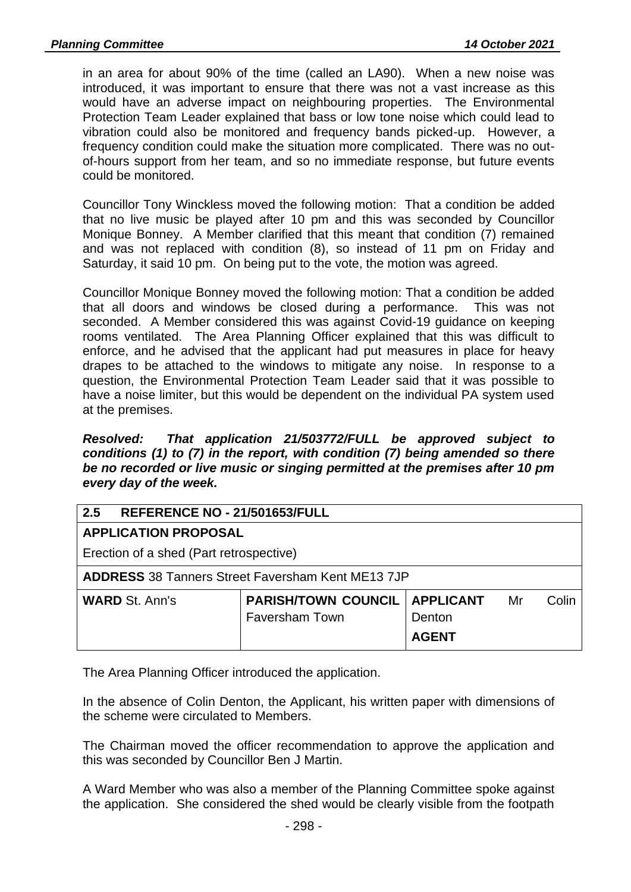in an area for about 90% of the time (called an LA90). When a new noise was introduced, it was important to ensure that there was not a vast increase as this would have an adverse impact on neighbouring properties. The Environmental Protection Team Leader explained that bass or low tone noise which could lead to vibration could also be monitored and frequency bands picked-up. However, a frequency condition could make the situation more complicated. There was no outof-hours support from her team, and so no immediate response, but future events could be monitored.

Councillor Tony Winckless moved the following motion: That a condition be added that no live music be played after 10 pm and this was seconded by Councillor Monique Bonney. A Member clarified that this meant that condition (7) remained and was not replaced with condition (8), so instead of 11 pm on Friday and Saturday, it said 10 pm. On being put to the vote, the motion was agreed.

Councillor Monique Bonney moved the following motion: That a condition be added that all doors and windows be closed during a performance. This was not seconded. A Member considered this was against Covid-19 guidance on keeping rooms ventilated. The Area Planning Officer explained that this was difficult to enforce, and he advised that the applicant had put measures in place for heavy drapes to be attached to the windows to mitigate any noise. In response to a question, the Environmental Protection Team Leader said that it was possible to have a noise limiter, but this would be dependent on the individual PA system used at the premises.

*Resolved: That application 21/503772/FULL be approved subject to conditions (1) to (7) in the report, with condition (7) being amended so there be no recorded or live music or singing permitted at the premises after 10 pm every day of the week.*

# **2.5 REFERENCE NO - 21/501653/FULL**

### **APPLICATION PROPOSAL**

Erection of a shed (Part retrospective)

**ADDRESS** 38 Tanners Street Faversham Kent ME13 7JP

| <b>WARD St. Ann's</b> | <b>PARISH/TOWN COUNCIL   APPLICANT</b> |              | Mr | Colin |
|-----------------------|----------------------------------------|--------------|----|-------|
|                       | <b>Faversham Town</b>                  | Denton       |    |       |
|                       |                                        | <b>AGENT</b> |    |       |

The Area Planning Officer introduced the application.

In the absence of Colin Denton, the Applicant, his written paper with dimensions of the scheme were circulated to Members.

The Chairman moved the officer recommendation to approve the application and this was seconded by Councillor Ben J Martin.

A Ward Member who was also a member of the Planning Committee spoke against the application. She considered the shed would be clearly visible from the footpath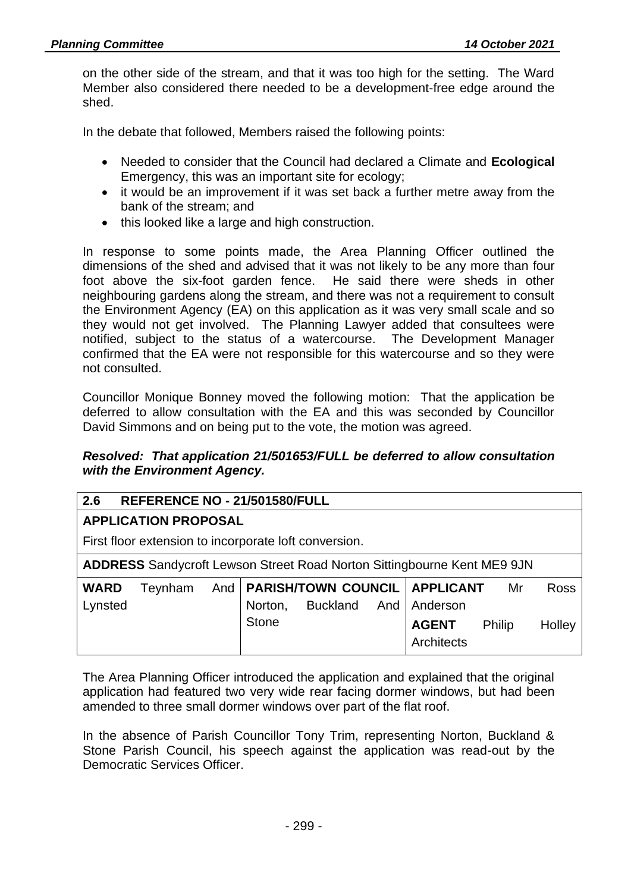on the other side of the stream, and that it was too high for the setting. The Ward Member also considered there needed to be a development-free edge around the shed.

In the debate that followed, Members raised the following points:

- Needed to consider that the Council had declared a Climate and **Ecological** Emergency, this was an important site for ecology;
- it would be an improvement if it was set back a further metre away from the bank of the stream; and
- this looked like a large and high construction.

In response to some points made, the Area Planning Officer outlined the dimensions of the shed and advised that it was not likely to be any more than four foot above the six-foot garden fence. He said there were sheds in other neighbouring gardens along the stream, and there was not a requirement to consult the Environment Agency (EA) on this application as it was very small scale and so they would not get involved. The Planning Lawyer added that consultees were notified, subject to the status of a watercourse. The Development Manager confirmed that the EA were not responsible for this watercourse and so they were not consulted.

Councillor Monique Bonney moved the following motion: That the application be deferred to allow consultation with the EA and this was seconded by Councillor David Simmons and on being put to the vote, the motion was agreed.

### *Resolved: That application 21/501653/FULL be deferred to allow consultation with the Environment Agency.*

### **2.6 REFERENCE NO - 21/501580/FULL**

### **APPLICATION PROPOSAL**

First floor extension to incorporate loft conversion.

**ADDRESS** Sandycroft Lewson Street Road Norton Sittingbourne Kent ME9 9JN

| <b>WARD</b> |  |         |                       | Teynham And   PARISH/TOWN COUNCIL   APPLICANT | Mr | <b>Ross</b> |
|-------------|--|---------|-----------------------|-----------------------------------------------|----|-------------|
| Lynsted     |  | Norton, | Buckland And Anderson |                                               |    |             |
|             |  | Stone   |                       | <b>AGENT</b> Philip<br>Architects             |    | Holley      |

The Area Planning Officer introduced the application and explained that the original application had featured two very wide rear facing dormer windows, but had been amended to three small dormer windows over part of the flat roof.

In the absence of Parish Councillor Tony Trim, representing Norton, Buckland & Stone Parish Council, his speech against the application was read-out by the Democratic Services Officer.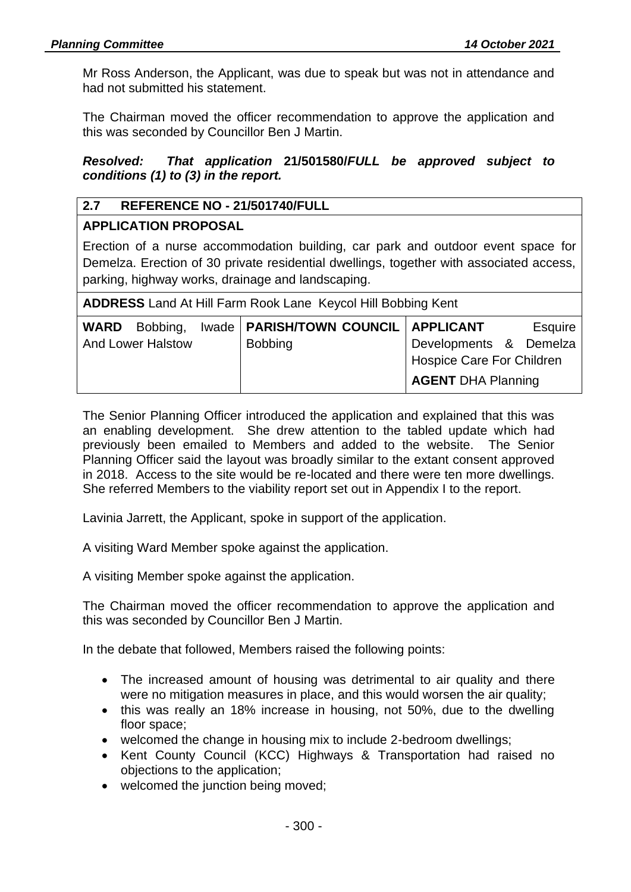Mr Ross Anderson, the Applicant, was due to speak but was not in attendance and had not submitted his statement.

The Chairman moved the officer recommendation to approve the application and this was seconded by Councillor Ben J Martin.

*Resolved: That application* **21/501580/***FULL be approved subject to conditions (1) to (3) in the report.*

# **2.7 REFERENCE NO - 21/501740/FULL**

### **APPLICATION PROPOSAL**

Erection of a nurse accommodation building, car park and outdoor event space for Demelza. Erection of 30 private residential dwellings, together with associated access, parking, highway works, drainage and landscaping.

**ADDRESS** Land At Hill Farm Rook Lane Keycol Hill Bobbing Kent

|                          | <b>WARD</b> Bobbing, Iwade   <b>PARISH/TOWN COUNCIL</b>   APPLICANT |                           | Esquire |  |
|--------------------------|---------------------------------------------------------------------|---------------------------|---------|--|
| <b>And Lower Halstow</b> | <b>Bobbing</b>                                                      | Developments & Demelza    |         |  |
|                          |                                                                     | Hospice Care For Children |         |  |
|                          |                                                                     | <b>AGENT DHA Planning</b> |         |  |

The Senior Planning Officer introduced the application and explained that this was an enabling development. She drew attention to the tabled update which had previously been emailed to Members and added to the website. The Senior Planning Officer said the layout was broadly similar to the extant consent approved in 2018. Access to the site would be re-located and there were ten more dwellings. She referred Members to the viability report set out in Appendix I to the report.

Lavinia Jarrett, the Applicant, spoke in support of the application.

A visiting Ward Member spoke against the application.

A visiting Member spoke against the application.

The Chairman moved the officer recommendation to approve the application and this was seconded by Councillor Ben J Martin.

In the debate that followed, Members raised the following points:

- The increased amount of housing was detrimental to air quality and there were no mitigation measures in place, and this would worsen the air quality;
- this was really an 18% increase in housing, not 50%, due to the dwelling floor space:
- welcomed the change in housing mix to include 2-bedroom dwellings;
- Kent County Council (KCC) Highways & Transportation had raised no objections to the application;
- welcomed the junction being moved;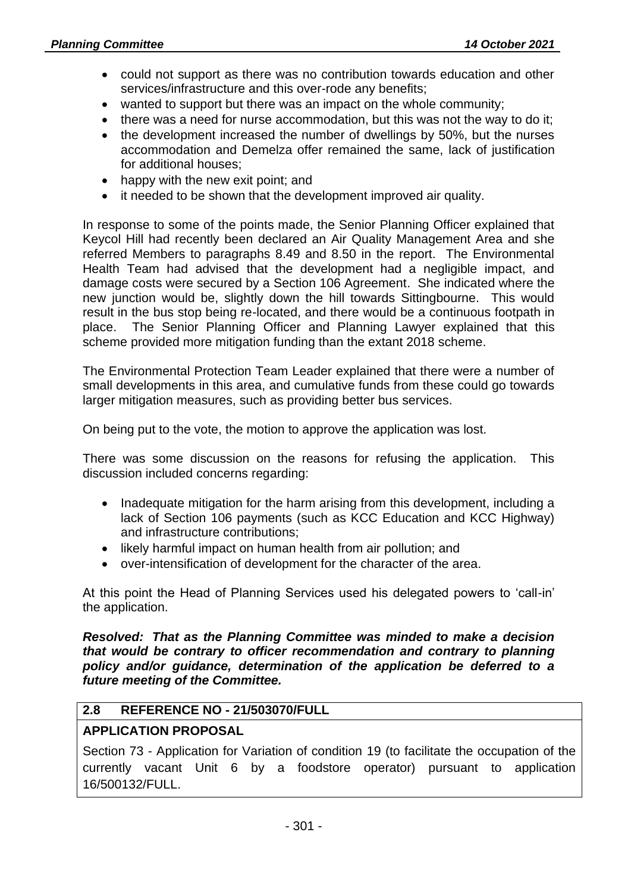- could not support as there was no contribution towards education and other services/infrastructure and this over-rode any benefits;
- wanted to support but there was an impact on the whole community;
- there was a need for nurse accommodation, but this was not the way to do it;
- the development increased the number of dwellings by 50%, but the nurses accommodation and Demelza offer remained the same, lack of justification for additional houses;
- happy with the new exit point; and
- it needed to be shown that the development improved air quality.

In response to some of the points made, the Senior Planning Officer explained that Keycol Hill had recently been declared an Air Quality Management Area and she referred Members to paragraphs 8.49 and 8.50 in the report. The Environmental Health Team had advised that the development had a negligible impact, and damage costs were secured by a Section 106 Agreement. She indicated where the new junction would be, slightly down the hill towards Sittingbourne. This would result in the bus stop being re-located, and there would be a continuous footpath in place. The Senior Planning Officer and Planning Lawyer explained that this scheme provided more mitigation funding than the extant 2018 scheme.

The Environmental Protection Team Leader explained that there were a number of small developments in this area, and cumulative funds from these could go towards larger mitigation measures, such as providing better bus services.

On being put to the vote, the motion to approve the application was lost.

There was some discussion on the reasons for refusing the application. This discussion included concerns regarding:

- Inadequate mitigation for the harm arising from this development, including a lack of Section 106 payments (such as KCC Education and KCC Highway) and infrastructure contributions;
- likely harmful impact on human health from air pollution; and
- over-intensification of development for the character of the area.

At this point the Head of Planning Services used his delegated powers to 'call-in' the application.

*Resolved: That as the Planning Committee was minded to make a decision that would be contrary to officer recommendation and contrary to planning policy and/or guidance, determination of the application be deferred to a future meeting of the Committee.*

# **2.8 REFERENCE NO - 21/503070/FULL**

# **APPLICATION PROPOSAL**

Section 73 - Application for Variation of condition 19 (to facilitate the occupation of the currently vacant Unit 6 by a foodstore operator) pursuant to application 16/500132/FULL.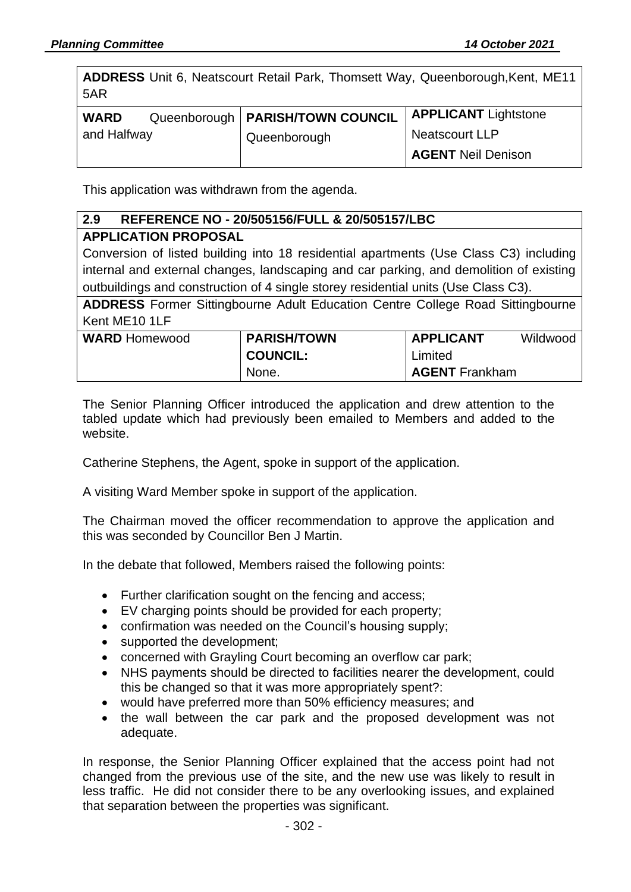**ADDRESS** Unit 6, Neatscourt Retail Park, Thomsett Way, Queenborough,Kent, ME11 5AR

| <b>WARD</b> | Queenborough   PARISH/TOWN COUNCIL | <b>APPLICANT</b> Lightstone |
|-------------|------------------------------------|-----------------------------|
| and Halfway | Queenborough                       | Neatscourt LLP              |
|             |                                    | <b>AGENT Neil Denison</b>   |

This application was withdrawn from the agenda.

# **2.9 REFERENCE NO - 20/505156/FULL & 20/505157/LBC**

### **APPLICATION PROPOSAL**

Conversion of listed building into 18 residential apartments (Use Class C3) including internal and external changes, landscaping and car parking, and demolition of existing outbuildings and construction of 4 single storey residential units (Use Class C3).

**ADDRESS** Former Sittingbourne Adult Education Centre College Road Sittingbourne Kent ME10 1LF

| <b>WARD</b> Homewood | <b>PARISH/TOWN</b> | <b>APPLICANT</b>      | Wildwood |
|----------------------|--------------------|-----------------------|----------|
|                      | <b>COUNCIL:</b>    | Limited               |          |
|                      | None.              | <b>AGENT</b> Frankham |          |

The Senior Planning Officer introduced the application and drew attention to the tabled update which had previously been emailed to Members and added to the website.

Catherine Stephens, the Agent, spoke in support of the application.

A visiting Ward Member spoke in support of the application.

The Chairman moved the officer recommendation to approve the application and this was seconded by Councillor Ben J Martin.

In the debate that followed, Members raised the following points:

- Further clarification sought on the fencing and access;
- EV charging points should be provided for each property;
- confirmation was needed on the Council's housing supply;
- supported the development;
- concerned with Grayling Court becoming an overflow car park;
- NHS payments should be directed to facilities nearer the development, could this be changed so that it was more appropriately spent?:
- would have preferred more than 50% efficiency measures; and
- the wall between the car park and the proposed development was not adequate.

In response, the Senior Planning Officer explained that the access point had not changed from the previous use of the site, and the new use was likely to result in less traffic. He did not consider there to be any overlooking issues, and explained that separation between the properties was significant.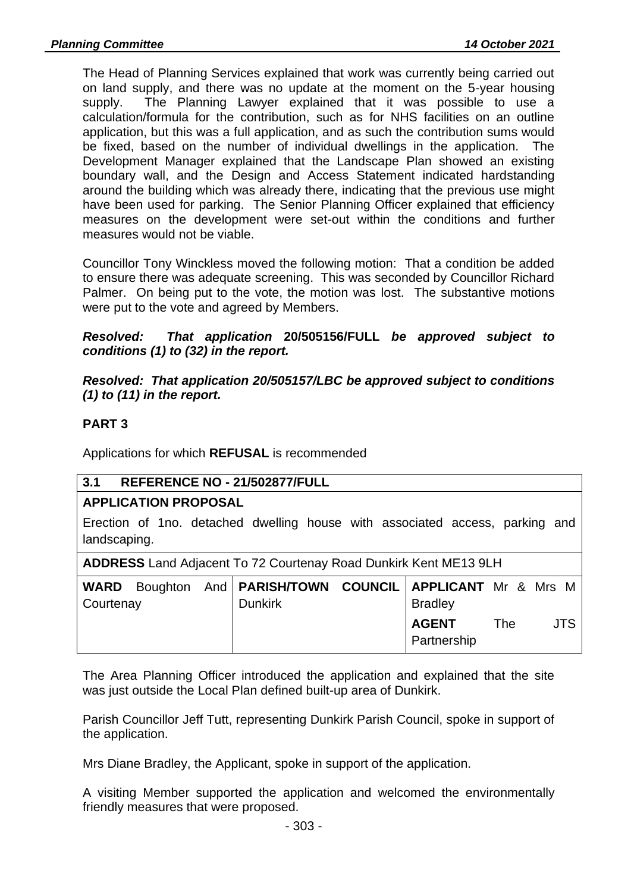The Head of Planning Services explained that work was currently being carried out on land supply, and there was no update at the moment on the 5-year housing supply. The Planning Lawyer explained that it was possible to use a calculation/formula for the contribution, such as for NHS facilities on an outline application, but this was a full application, and as such the contribution sums would be fixed, based on the number of individual dwellings in the application. The Development Manager explained that the Landscape Plan showed an existing boundary wall, and the Design and Access Statement indicated hardstanding around the building which was already there, indicating that the previous use might have been used for parking. The Senior Planning Officer explained that efficiency measures on the development were set-out within the conditions and further measures would not be viable.

Councillor Tony Winckless moved the following motion: That a condition be added to ensure there was adequate screening. This was seconded by Councillor Richard Palmer. On being put to the vote, the motion was lost. The substantive motions were put to the vote and agreed by Members.

*Resolved: That application* **20/505156/FULL** *be approved subject to conditions (1) to (32) in the report.*

*Resolved: That application 20/505157/LBC be approved subject to conditions (1) to (11) in the report.*

# **PART 3**

Applications for which **REFUSAL** is recommended

# **3.1 REFERENCE NO - 21/502877/FULL**

# **APPLICATION PROPOSAL**

Erection of 1no. detached dwelling house with associated access, parking and landscaping.

**ADDRESS** Land Adjacent To 72 Courtenay Road Dunkirk Kent ME13 9LH

| Courtenay |  | WARD Boughton And   PARISH/TOWN COUNCIL   APPLICANT Mr & Mrs M<br><b>Dunkirk</b> | <b>Bradley</b>              |     |  |      |
|-----------|--|----------------------------------------------------------------------------------|-----------------------------|-----|--|------|
|           |  |                                                                                  | <b>AGENT</b><br>Partnership | The |  | JTS. |

The Area Planning Officer introduced the application and explained that the site was just outside the Local Plan defined built-up area of Dunkirk.

Parish Councillor Jeff Tutt, representing Dunkirk Parish Council, spoke in support of the application.

Mrs Diane Bradley, the Applicant, spoke in support of the application.

A visiting Member supported the application and welcomed the environmentally friendly measures that were proposed.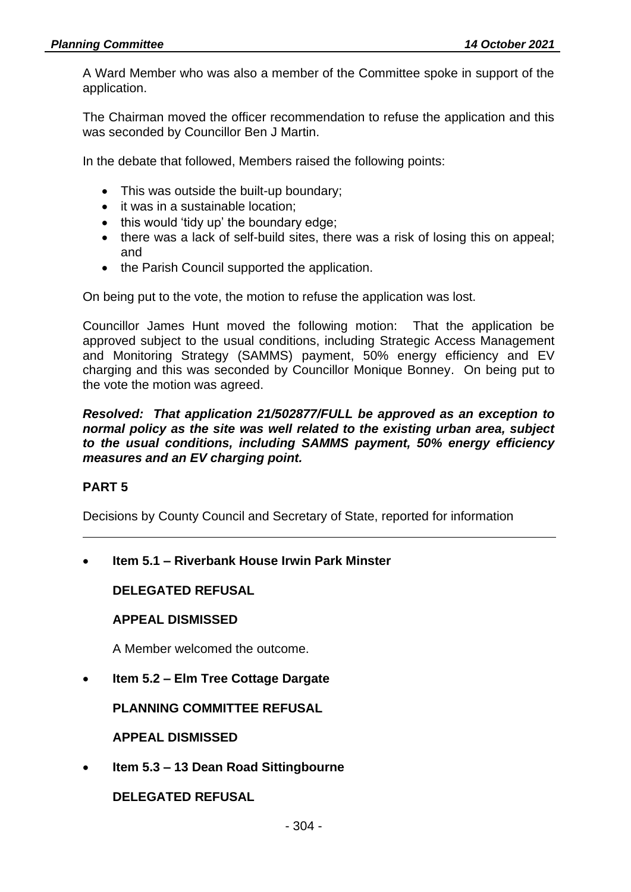A Ward Member who was also a member of the Committee spoke in support of the application.

The Chairman moved the officer recommendation to refuse the application and this was seconded by Councillor Ben J Martin.

In the debate that followed, Members raised the following points:

- This was outside the built-up boundary;
- it was in a sustainable location;
- this would 'tidy up' the boundary edge;
- there was a lack of self-build sites, there was a risk of losing this on appeal; and
- the Parish Council supported the application.

On being put to the vote, the motion to refuse the application was lost.

Councillor James Hunt moved the following motion: That the application be approved subject to the usual conditions, including Strategic Access Management and Monitoring Strategy (SAMMS) payment, 50% energy efficiency and EV charging and this was seconded by Councillor Monique Bonney. On being put to the vote the motion was agreed.

#### *Resolved: That application 21/502877/FULL be approved as an exception to normal policy as the site was well related to the existing urban area, subject to the usual conditions, including SAMMS payment, 50% energy efficiency measures and an EV charging point.*

### **PART 5**

Decisions by County Council and Secretary of State, reported for information

• **Item 5.1 – Riverbank House Irwin Park Minster**

**DELEGATED REFUSAL**

#### **APPEAL DISMISSED**

A Member welcomed the outcome.

• **Item 5.2 – Elm Tree Cottage Dargate**

**PLANNING COMMITTEE REFUSAL**

**APPEAL DISMISSED**

• **Item 5.3 – 13 Dean Road Sittingbourne**

**DELEGATED REFUSAL**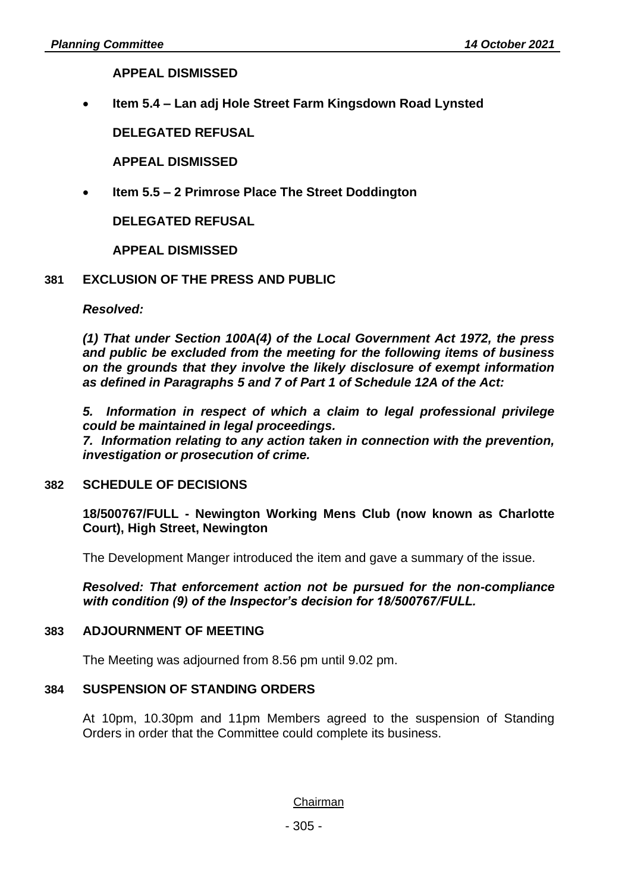**APPEAL DISMISSED**

• **Item 5.4 – Lan adj Hole Street Farm Kingsdown Road Lynsted**

**DELEGATED REFUSAL**

**APPEAL DISMISSED**

• **Item 5.5 – 2 Primrose Place The Street Doddington**

**DELEGATED REFUSAL**

**APPEAL DISMISSED**

### **381 EXCLUSION OF THE PRESS AND PUBLIC**

*Resolved:*

*(1) That under Section 100A(4) of the Local Government Act 1972, the press and public be excluded from the meeting for the following items of business on the grounds that they involve the likely disclosure of exempt information as defined in Paragraphs 5 and 7 of Part 1 of Schedule 12A of the Act:*

*5. Information in respect of which a claim to legal professional privilege could be maintained in legal proceedings.*

*7. Information relating to any action taken in connection with the prevention, investigation or prosecution of crime.*

### **382 SCHEDULE OF DECISIONS**

**18/500767/FULL - Newington Working Mens Club (now known as Charlotte Court), High Street, Newington**

The Development Manger introduced the item and gave a summary of the issue.

*Resolved: That enforcement action not be pursued for the non-compliance with condition (9) of the Inspector's decision for 18/500767/FULL.*

#### **383 ADJOURNMENT OF MEETING**

The Meeting was adjourned from 8.56 pm until 9.02 pm.

### **384 SUSPENSION OF STANDING ORDERS**

At 10pm, 10.30pm and 11pm Members agreed to the suspension of Standing Orders in order that the Committee could complete its business.

Chairman

- 305 -